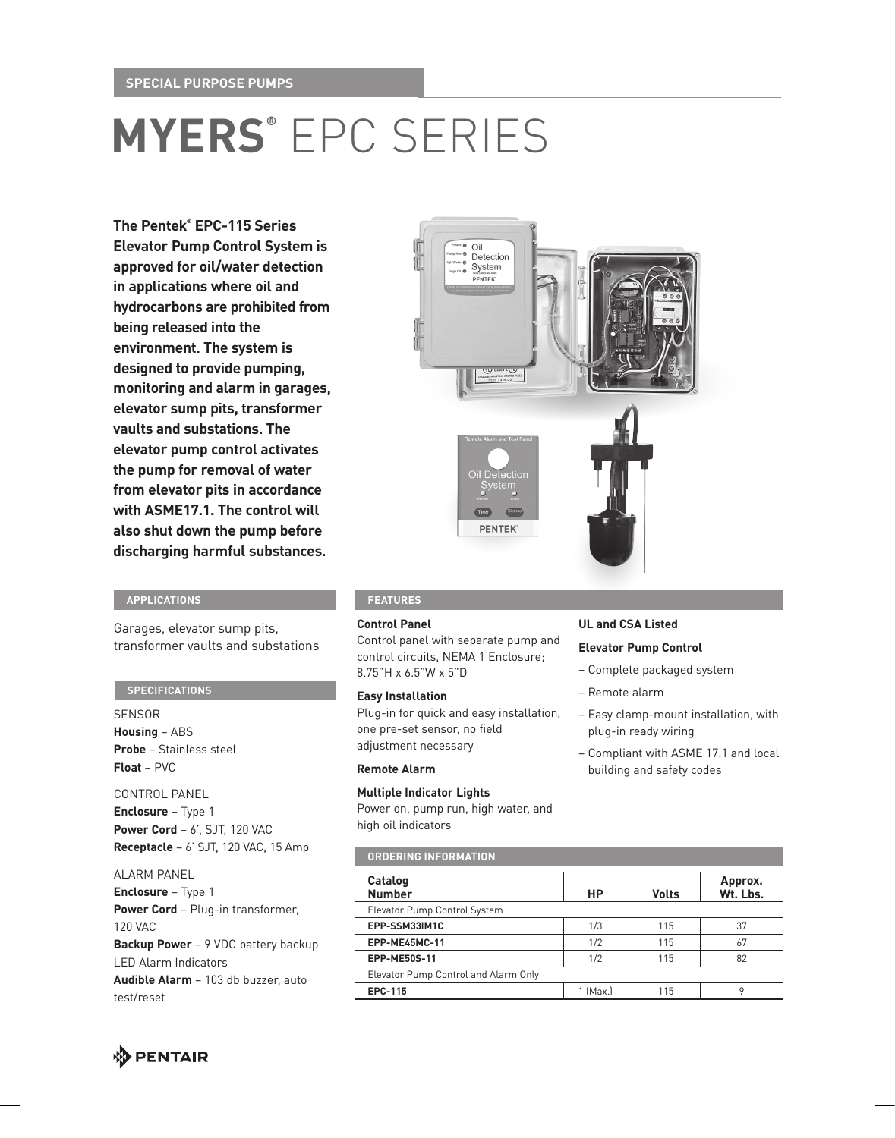# **MYERS®** EPC SERIES

**The Pentek® EPC-115 Series Elevator Pump Control System is approved for oil/water detection in applications where oil and hydrocarbons are prohibited from being released into the environment. The system is designed to provide pumping, monitoring and alarm in garages, elevator sump pits, transformer vaults and substations. The elevator pump control activates the pump for removal of water from elevator pits in accordance with ASME17.1. The control will also shut down the pump before discharging harmful substances.**

# **applications**

Garages, elevator sump pits, transformer vaults and substations

# **specifications**

**SENSOR Housing** – ABS **Probe** – Stainless steel **Float** – PVC

CONTROL PANEL **Enclosure** – Type 1 **Power Cord** – 6', SJT, 120 VAC **Receptacle** – 6' SJT, 120 VAC, 15 Amp

ALARM PANEL **Enclosure** – Type 1 **Power Cord** – Plug-in transformer, 120 VAC **Backup Power** – 9 VDC battery backup LED Alarm Indicators **Audible Alarm** – 103 db buzzer, auto test/reset



**UL and CSA Listed**

– Remote alarm

**Elevator Pump Control** 

plug-in ready wiring

building and safety codes

– Complete packaged system

– Easy clamp-mount installation, with

– Compliant with ASME 17.1 and local

## **features**

# **Control Panel**

Control panel with separate pump and control circuits, NEMA 1 Enclosure; 8.75"H x 6.5"W x 5"D

#### **Easy Installation**

Plug-in for quick and easy installation, one pre-set sensor, no field adjustment necessary

**Remote Alarm**

### **Multiple Indicator Lights**

Power on, pump run, high water, and high oil indicators

#### **ordering information**

| <b>ORDERING INFORMATION</b>          |          |              |                     |
|--------------------------------------|----------|--------------|---------------------|
| Catalog<br><b>Number</b>             | НP       | <b>Volts</b> | Approx.<br>Wt. Lbs. |
| Elevator Pump Control System         |          |              |                     |
| EPP-SSM33IM1C                        | 1/3      | 115          | 37                  |
| <b>EPP-ME45MC-11</b>                 | 1/2      | 115          | 67                  |
| <b>EPP-ME50S-11</b>                  | 1/2      | 115          | 82                  |
| Elevator Pump Control and Alarm Only |          |              |                     |
| <b>EPC-115</b>                       | 1 (Max.) | 115          | Q                   |